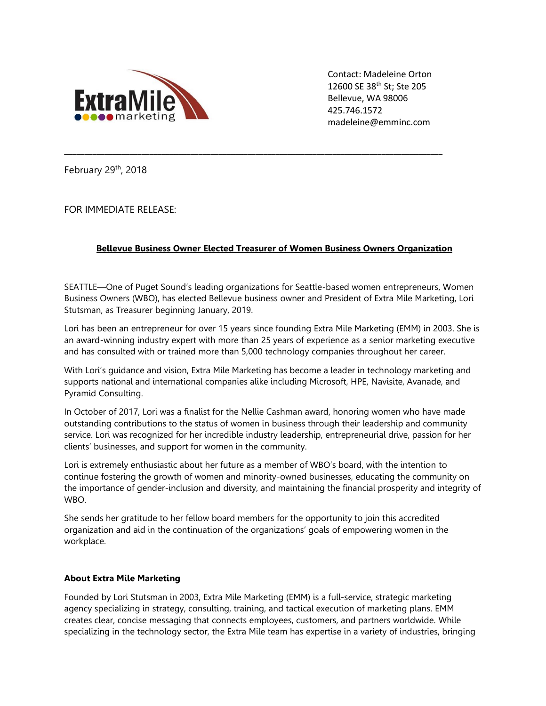

Contact: Madeleine Orton 12600 SE 38th St; Ste 205 Bellevue, WA 98006 425.746.1572 madeleine@emminc.com

February 29th, 2018

FOR IMMEDIATE RELEASE:

## **Bellevue Business Owner Elected Treasurer of Women Business Owners Organization**

**\_\_\_\_\_\_\_\_\_\_\_\_\_\_\_\_\_\_\_\_\_\_\_\_\_\_\_\_\_\_\_\_\_\_\_\_\_\_\_\_\_\_\_\_\_\_\_\_\_\_\_\_\_\_\_\_\_\_\_\_\_\_\_\_\_\_\_\_\_\_\_\_\_\_\_\_\_\_\_\_\_\_\_\_\_\_\_\_\_\_\_\_\_**

SEATTLE—One of Puget Sound's leading organizations for Seattle-based women entrepreneurs, Women Business Owners (WBO), has elected Bellevue business owner and President of Extra Mile Marketing, Lori Stutsman, as Treasurer beginning January, 2019.

Lori has been an entrepreneur for over 15 years since founding Extra Mile Marketing (EMM) in 2003. She is an award-winning industry expert with more than 25 years of experience as a senior marketing executive and has consulted with or trained more than 5,000 technology companies throughout her career.

With Lori's guidance and vision, Extra Mile Marketing has become a leader in technology marketing and supports national and international companies alike including Microsoft, HPE, Navisite, Avanade, and Pyramid Consulting.

In October of 2017, Lori was a finalist for the Nellie Cashman award, honoring women who have made outstanding contributions to the status of women in business through their leadership and community service. Lori was recognized for her incredible industry leadership, entrepreneurial drive, passion for her clients' businesses, and support for women in the community.

Lori is extremely enthusiastic about her future as a member of WBO's board, with the intention to continue fostering the growth of women and minority-owned businesses, educating the community on the importance of gender-inclusion and diversity, and maintaining the financial prosperity and integrity of WBO.

She sends her gratitude to her fellow board members for the opportunity to join this accredited organization and aid in the continuation of the organizations' goals of empowering women in the workplace.

## **About Extra Mile Marketing**

Founded by Lori Stutsman in 2003, Extra Mile Marketing (EMM) is a full-service, strategic marketing agency specializing in strategy, consulting, training, and tactical execution of marketing plans. EMM creates clear, concise messaging that connects employees, customers, and partners worldwide. While specializing in the technology sector, the Extra Mile team has expertise in a variety of industries, bringing